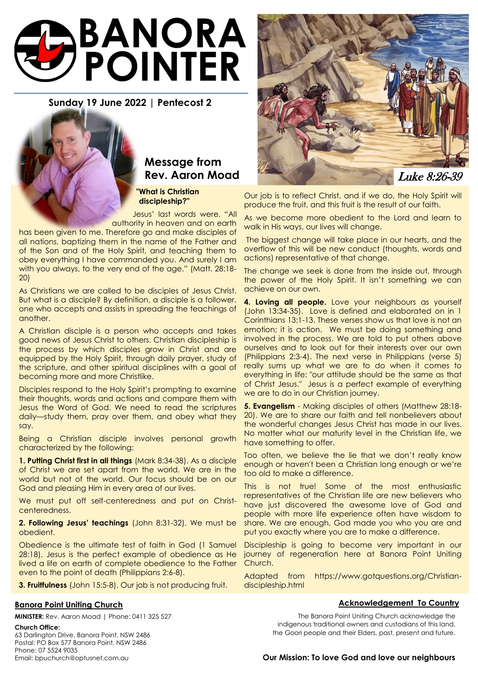# **BANORA POINTER**

# **Sunday 19 June 2022 | Pentecost 2**

# **Message from**

 **"What is Christian discipleship?"**

Jesus' last words were, "All authority in heaven and on earth

has been given to me. Therefore go and make disciples of all nations, baptizing them in the name of the Father and of the Son and of the Holy Spirit, and teaching them to obey everything I have commanded you. And surely I am with you always, to the very end of the age." (Matt. 28:18- 20)

As Christians we are called to be disciples of Jesus Christ. But what is a disciple? By definition, a disciple is a follower, one who accepts and assists in spreading the teachings of another.

A Christian disciple is a person who accepts and takes good news of Jesus Christ to others. Christian discipleship is the process by which disciples grow in Christ and are equipped by the Holy Spirit, through daily prayer, study of the scripture, and other spiritual disciplines with a goal of becoming more and more Christlike.

Disciples respond to the Holy Spirit's prompting to examine their thoughts, words and actions and compare them with Jesus the Word of God. We need to read the scriptures daily—study them, pray over them, and obey what they say.

Being a Christian disciple involves personal growth characterized by the following:

**1. Putting Christ first in all things** (Mark 8:34-38). As a disciple of Christ we are set apart from the world. We are in the world but not of the world. Our focus should be on our God and pleasing Him in every area of our lives.

We must put off self-centeredness and put on Christcenteredness.

**2. Following Jesus' teachings** (John 8:31-32). We must be obedient.

Obedience is the ultimate test of faith in God (1 Samuel 28:18), Jesus is the perfect example of obedience as He lived a life on earth of complete obedience to the Father even to the point of death (Philippians 2:6-8).

**3. Fruitfulness** (John 15:5-8). Our job is not producing fruit.

#### **Banora Point Uniting Church**

**MINISTER:** Rev. Aaron Moad | Phone: 0411 325 527

#### **Church Office:**

63 Darlington Drive, Banora Point, NSW 2486 Postal: PO Box 577 Banora Point, NSW 2486 Phone: 07 5524 9035 Email: bpuchurch@optusnet.com.au



Our job is to reflect Christ, and if we do, the Holy Spirit will produce the fruit, and this fruit is the result of our faith.

As we become more obedient to the Lord and learn to walk in His ways, our lives will change.

The biggest change will take place in our hearts, and the overflow of this will be new conduct (thoughts, words and actions) representative of that change.

The change we seek is done from the inside out, through the power of the Holy Spirit. It isn't something we can achieve on our own.

**4. Loving all people.** Love your neighbours as yourself (John 13:34-35). Love is defined and elaborated on in 1 Corinthians 13:1-13. These verses show us that love is not an emotion; it is action. We must be doing something and involved in the process. We are told to put others above ourselves and to look out for their interests over our own (Philippians 2:3-4). The next verse in Philippians (verse 5) really sums up what we are to do when it comes to everything in life: "our attitude should be the same as that of Christ Jesus." Jesus is a perfect example of everything we are to do in our Christian journey.

**5. Evangelism** - Making disciples of others (Matthew 28:18- 20). We are to share our faith and tell nonbelievers about the wonderful changes Jesus Christ has made in our lives. No matter what our maturity level in the Christian life, we have something to offer.

Too often, we believe the lie that we don't really know enough or haven't been a Christian long enough or we're too old to make a difference.

This is not true! Some of the most enthusiastic representatives of the Christian life are new believers who have just discovered the awesome love of God and people with more life experience often have wisdom to share. We are enough, God made you who you are and put you exactly where you are to make a difference.

Discipleship is going to become very important in our journey of regeneration here at Banora Point Uniting Church.

Adapted from https://www.gotquestions.org/Christiandiscipleship.html

#### **Acknowledgement To Country**

The Banora Point Uniting Church acknowledge the indigenous traditional owners and custodians of this land, the Goori people and their Elders, past, present and future.

#### **Our Mission: To love God and love our neighbours**